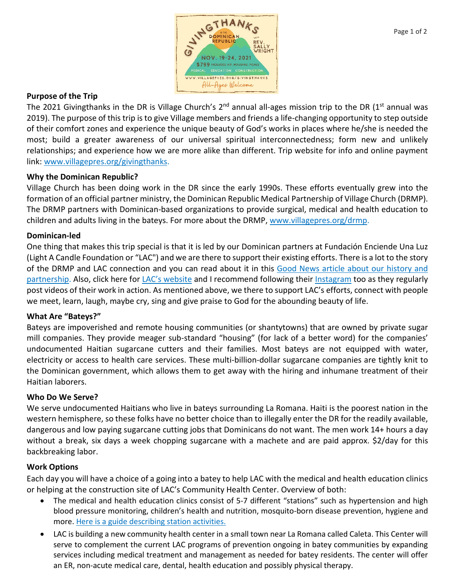

### **Purpose of the Trip**

The 2021 Givingthanks in the DR is Village Church's  $2^{nd}$  annual all-ages mission trip to the DR (1<sup>st</sup> annual was 2019). The purpose of this trip is to give Village members and friends a life-changing opportunity to step outside of their comfort zones and experience the unique beauty of God's works in places where he/she is needed the most; build a greater awareness of our universal spiritual interconnectedness; form new and unlikely relationships; and experience how we are more alike than different. Trip website for info and online payment link: [www.villagepres.org/givingthanks.](http://www.villagepres.org/givingthanks)

## **Why the Dominican Republic?**

Village Church has been doing work in the DR since the early 1990s. These efforts eventually grew into the formation of an official partner ministry, the Dominican Republic Medical Partnership of Village Church (DRMP). The DRMP partners with Dominican-based organizations to provide surgical, medical and health education to children and adults living in the bateys. For more about the DRMP, [www.villagepres.org/drmp.](http://www.villagepres.org/drmp)

#### **Dominican-led**

One thing that makes this trip special is that it is led by our Dominican partners at Fundación Enciende Una Luz (Light A Candle Foundation or "LAC") and we are there to support their existing efforts. There is a lot to the story of the DRMP and LAC connection and you can read about it in this [Good News article about our history and](https://www.villagepres.org/uploads/3/1/1/5/31151741/june_2019_lac.pdf)  [partnership.](https://www.villagepres.org/uploads/3/1/1/5/31151741/june_2019_lac.pdf) Also, click here for [LAC's website](http://www.feul.org/) and I recommend following their [Instagram](https://www.instagram.com/lightacandle_mission/) too as they regularly post videos of their work in action. As mentioned above, we there to support LAC's efforts, connect with people we meet, learn, laugh, maybe cry, sing and give praise to God for the abounding beauty of life.

#### **What Are "Bateys?"**

Bateys are impoverished and remote housing communities (or shantytowns) that are owned by private sugar mill companies. They provide meager sub-standard "housing" (for lack of a better word) for the companies' undocumented Haitian sugarcane cutters and their families. Most bateys are not equipped with water, electricity or access to health care services. These multi-billion-dollar sugarcane companies are tightly knit to the Dominican government, which allows them to get away with the hiring and inhumane treatment of their Haitian laborers.

#### **Who Do We Serve?**

We serve undocumented Haitians who live in bateys surrounding La Romana. Haiti is the poorest nation in the western hemisphere, so these folks have no better choice than to illegally enter the DR for the readily available, dangerous and low paying sugarcane cutting jobs that Dominicans do not want. The men work 14+ hours a day without a break, six days a week chopping sugarcane with a machete and are paid approx. \$2/day for this backbreaking labor.

#### **Work Options**

Each day you will have a choice of a going into a batey to help LAC with the medical and health education clinics or helping at the construction site of LAC's Community Health Center. Overview of both:

- The medical and health education clinics consist of 5-7 different "stations" such as hypertension and high blood pressure monitoring, children's health and nutrition, mosquito-born disease prevention, hygiene and more. [Here is a guide describing station activities.](https://www.villagepres.org/uploads/3/1/1/5/31151741/volunteer_guide__march_4_2019_.pdf)
- LAC is building a new community health center in a small town near La Romana called Caleta. This Center will serve to complement the current LAC programs of prevention ongoing in batey communities by expanding services including medical treatment and management as needed for batey residents. The center will offer an ER, non-acute medical care, dental, health education and possibly physical therapy.